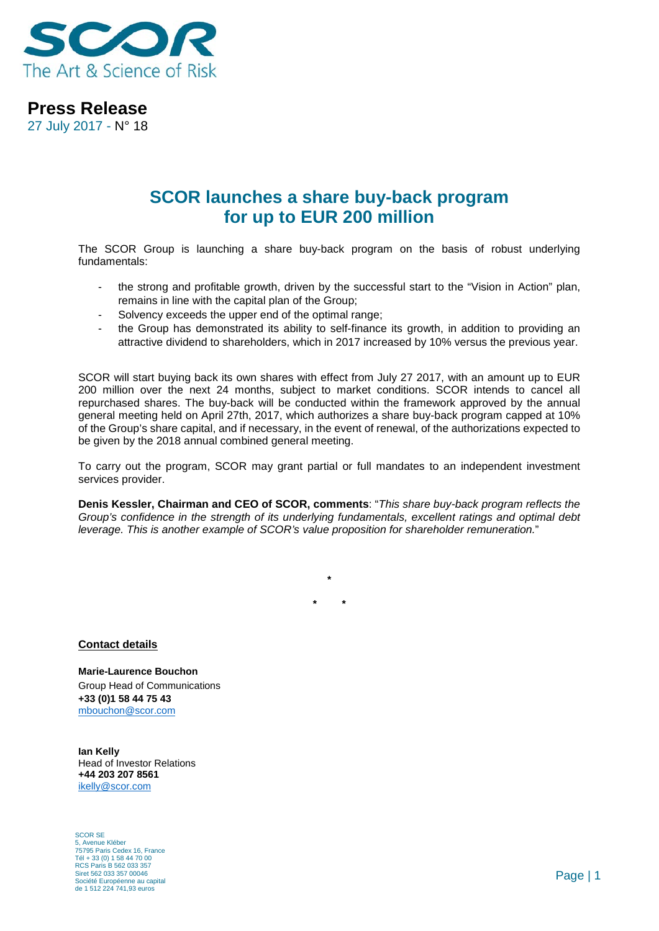

**Press Release**

27 July 2017 - N° 18

## **SCOR launches a share buy-back program for up to EUR 200 million**

The SCOR Group is launching a share buy-back program on the basis of robust underlying fundamentals:

- the strong and profitable growth, driven by the successful start to the "Vision in Action" plan, remains in line with the capital plan of the Group;
- Solvency exceeds the upper end of the optimal range;
- the Group has demonstrated its ability to self-finance its growth, in addition to providing an attractive dividend to shareholders, which in 2017 increased by 10% versus the previous year.

SCOR will start buying back its own shares with effect from July 27 2017, with an amount up to EUR 200 million over the next 24 months, subject to market conditions. SCOR intends to cancel all repurchased shares. The buy-back will be conducted within the framework approved by the annual general meeting held on April 27th, 2017, which authorizes a share buy-back program capped at 10% of the Group's share capital, and if necessary, in the event of renewal, of the authorizations expected to be given by the 2018 annual combined general meeting.

To carry out the program, SCOR may grant partial or full mandates to an independent investment services provider.

**Denis Kessler, Chairman and CEO of SCOR, comments**: "*This share buy-back program reflects the Group's confidence in the strength of its underlying fundamentals, excellent ratings and optimal debt leverage. This is another example of SCOR's value proposition for shareholder remuneration.*"

**\* \***

**\***

## **Contact details**

**Marie-Laurence Bouchon** Group Head of Communications **+33 (0)1 58 44 75 43** [mbouchon@scor.com](mailto:mbouchon@scor.com)

**Ian Kelly** Head of Investor Relations **+44 203 207 8561** [ikelly@scor.com](mailto:ikelly@scor.com)

SCOR SE 5, Avenue Kléber 75795 Paris Cedex 16, France Tél + 33 (0) 1 58 44 70 00 RCS Paris B 562 033 357 Siret 562 033 357 00046 Société Européenne au capital de 1 512 224 741,93 euros